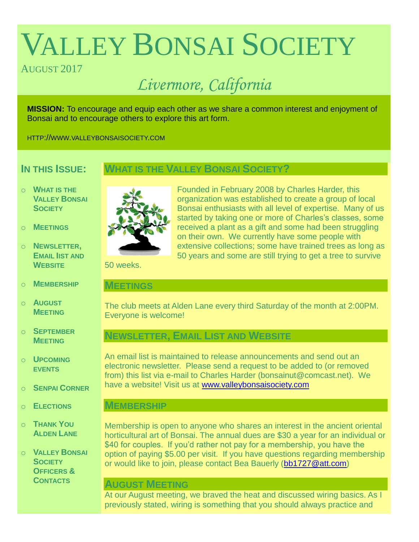# VALLEY BONSAI SOCIETY

# AUGUST 2017

# *Livermore, California*

**MISSION:** To encourage and equip each other as we share a common interest and enjoyment of Bonsai and to encourage others to explore this art form.

HTTP://WWW.VALLEYBONSAISOCIETY.COM

# **IN THIS ISSUE:**

## **WHAT IS THE VALLEY BONSAI SOCIETY?**

- o **WHAT IS THE VALLEY BONSAI SOCIETY**
- o **MEETINGS**
- o **NEWSLETTER, EMAIL IIST AND WEBSITE**
- o **MEMBERSHIP**
- o **AUGUST MEETING**
- o **SEPTEMBER MEETING**
- o **UPCOMING EVENTS**
- o **SENPAI CORNER**
- o **ELECTIONS**
- o **THANK YOU ALDEN LANE**

o **VALLEY BONSAI SOCIETY OFFICERS & CONTACTS**



Founded in February 2008 by Charles Harder, this organization was established to create a group of local Bonsai enthusiasts with all level of expertise. Many of us started by taking one or more of Charles's classes, some received a plant as a gift and some had been struggling on their own. We currently have some people with extensive collections; some have trained trees as long as 50 years and some are still trying to get a tree to survive

50 weeks.

#### **MEETINGS**

The club meets at Alden Lane every third Saturday of the month at 2:00PM. Everyone is welcome!

# **NEWSLETTER, EMAIL LIST AND WEBSITE**

An email list is maintained to release announcements and send out an electronic newsletter. Please send a request to be added to (or removed from) this list via e-mail to Charles Harder (bonsainut@comcast.net). We have a website! Visit us at [www.valleybonsaisociety.com](http://www.valleybonsaisociety.com/)

### **MEMBERSHIP**

Membership is open to anyone who shares an interest in the ancient oriental horticultural art of Bonsai. The annual dues are \$30 a year for an individual or \$40 for couples. If you'd rather not pay for a membership, you have the option of paying \$5.00 per visit. If you have questions regarding membership or would like to join, please contact Bea Bauerly [\(bb1727@att.com\)](mailto:bb1727@att.com)

#### **AUGUST MEETING**

At our August meeting, we braved the heat and discussed wiring basics. As I previously stated, wiring is something that you should always practice and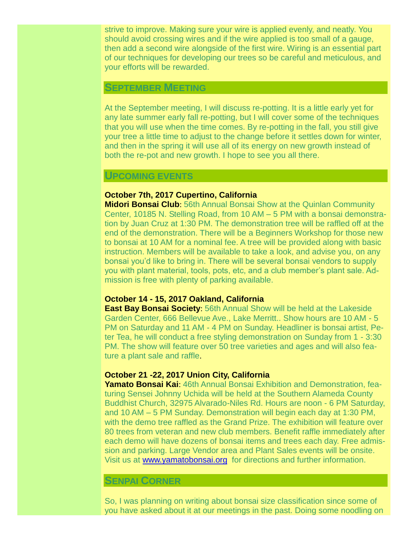strive to improve. Making sure your wire is applied evenly, and neatly. You should avoid crossing wires and if the wire applied is too small of a gauge, then add a second wire alongside of the first wire. Wiring is an essential part of our techniques for developing our trees so be careful and meticulous, and your efforts will be rewarded.

#### **SEPTEMBER MEETING**

At the September meeting, I will discuss re-potting. It is a little early yet for any late summer early fall re-potting, but I will cover some of the techniques that you will use when the time comes. By re-potting in the fall, you still give your tree a little time to adjust to the change before it settles down for winter, and then in the spring it will use all of its energy on new growth instead of both the re-pot and new growth. I hope to see you all there.

#### **UPCOMING EVENTS**

#### **October 7th, 2017 Cupertino, California**

**Midori Bonsai Club**: 56th Annual Bonsai Show at the Quinlan Community Center, 10185 N. Stelling Road, from 10 AM – 5 PM with a bonsai demonstration by Juan Cruz at 1:30 PM. The demonstration tree will be raffled off at the end of the demonstration. There will be a Beginners Workshop for those new to bonsai at 10 AM for a nominal fee. A tree will be provided along with basic instruction. Members will be available to take a look, and advise you, on any bonsai you'd like to bring in. There will be several bonsai vendors to supply you with plant material, tools, pots, etc, and a club member's plant sale. Admission is free with plenty of parking available.

#### **October 14 - 15, 2017 Oakland, California**

**East Bay Bonsai Society**: 56th Annual Show will be held at the Lakeside Garden Center, 666 Bellevue Ave., Lake Merritt.. Show hours are 10 AM - 5 PM on Saturday and 11 AM - 4 PM on Sunday. Headliner is bonsai artist, Peter Tea, he will conduct a free styling demonstration on Sunday from 1 - 3:30 PM. The show will feature over 50 tree varieties and ages and will also feature a plant sale and raffle.

#### **October 21 -22, 2017 Union City, California**

**Yamato Bonsai Kai**: 46th Annual Bonsai Exhibition and Demonstration, featuring Sensei Johnny Uchida will be held at the Southern Alameda County Buddhist Church, 32975 Alvarado-Niles Rd. Hours are noon - 6 PM Saturday, and 10 AM – 5 PM Sunday. Demonstration will begin each day at 1:30 PM, with the demo tree raffled as the Grand Prize. The exhibition will feature over 80 trees from veteran and new club members. Benefit raffle immediately after each demo will have dozens of bonsai items and trees each day. Free admission and parking. Large Vendor area and Plant Sales events will be onsite. Visit us at [www.yamatobonsai.org](http://www.yamatobonsai.org/) for directions and further information.

#### **SENPAI CORNER**

So, I was planning on writing about bonsai size classification since some of you have asked about it at our meetings in the past. Doing some noodling on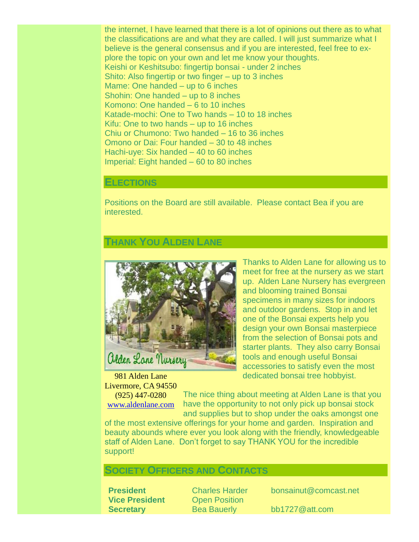the internet, I have learned that there is a lot of opinions out there as to what the classifications are and what they are called. I will just summarize what I believe is the general consensus and if you are interested, feel free to explore the topic on your own and let me know your thoughts. Keishi or Keshitsubo: fingertip bonsai - under 2 inches Shito: Also fingertip or two finger – up to 3 inches Mame: One handed – up to 6 inches Shohin: One handed – up to 8 inches Komono: One handed – 6 to 10 inches Katade-mochi: One to Two hands – 10 to 18 inches Kifu: One to two hands – up to 16 inches Chiu or Chumono: Two handed – 16 to 36 inches Omono or Dai: Four handed – 30 to 48 inches Hachi-uye: Six handed – 40 to 60 inches Imperial: Eight handed – 60 to 80 inches

#### **ELECTIONS**

Positions on the Board are still available. Please contact Bea if you are interested.

#### **THANK YOU ALDEN LANE**



981 Alden Lane Livermore, CA 94550 (925) 447-0280

[www.aldenlane.com](http://www.aldenlane.com/)

Thanks to Alden Lane for allowing us to meet for free at the nursery as we start up. Alden Lane Nursery has evergreen and blooming trained Bonsai specimens in many sizes for indoors and outdoor gardens. Stop in and let one of the Bonsai experts help you design your own Bonsai masterpiece from the selection of Bonsai pots and starter plants. They also carry Bonsai tools and enough useful Bonsai accessories to satisfy even the most dedicated bonsai tree hobbyist.

The nice thing about meeting at Alden Lane is that you have the opportunity to not only pick up bonsai stock and supplies but to shop under the oaks amongst one

of the most extensive offerings for your home and garden. Inspiration and beauty abounds where ever you look along with the friendly, knowledgeable staff of Alden Lane. Don't forget to say THANK YOU for the incredible support!

# **SOCIETY OFFICERS AND CONTACTS**

**Vice President** Open Position **Secretary** Bea Bauerly bb1727@att.com

**President** Charles Harder bonsainut@comcast.net